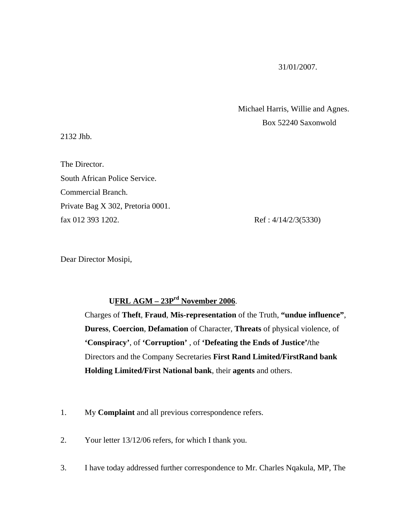## 31/01/2007.

 Michael Harris, Willie and Agnes. Box 52240 Saxonwold

2132 Jhb.

The Director. South African Police Service. Commercial Branch. Private Bag X 302, Pretoria 0001. fax 012 393 1202. Ref: 4/14/2/3(5330)

Dear Director Mosipi,

## **UFRL AGM – 23Prd November 2006**.

 Charges of **Theft**, **Fraud**, **Mis-representation** of the Truth, **"undue influence"**, **Duress**, **Coercion**, **Defamation** of Character, **Threats** of physical violence, of **'Conspiracy'**, of **'Corruption'** , of **'Defeating the Ends of Justice'/**the Directors and the Company Secretaries **First Rand Limited/FirstRand bank Holding Limited/First National bank**, their **agents** and others.

- 1. My **Complaint** and all previous correspondence refers.
- 2. Your letter 13/12/06 refers, for which I thank you.
- 3. I have today addressed further correspondence to Mr. Charles Nqakula, MP, The